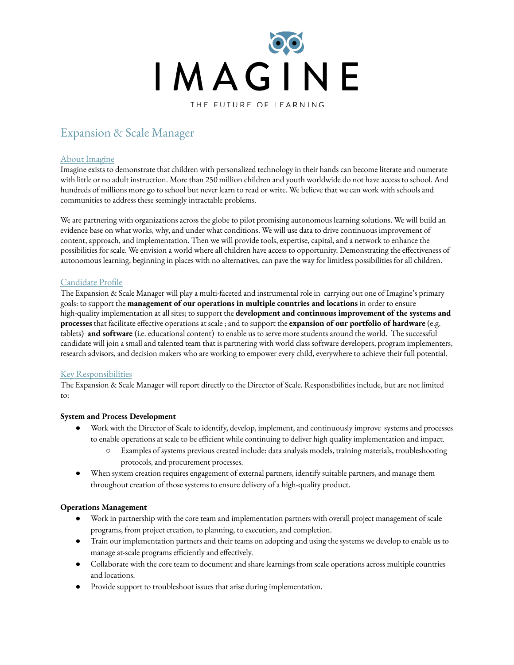

# Expansion & Scale Manager

## About Imagine

Imagine exists to demonstrate that children with personalized technology in their hands can become literate and numerate with little or no adult instruction. More than 250 million children and youth worldwide do not have access to school. And hundreds of millions more go to school but never learn to read or write. We believe that we can work with schools and communities to address these seemingly intractable problems.

We are partnering with organizations across the globe to pilot promising autonomous learning solutions. We will build an evidence base on what works, why, and under what conditions. We will use data to drive continuous improvement of content, approach, and implementation. Then we will provide tools, expertise, capital, and a network to enhance the possibilities for scale. We envision a world where all children have access to opportunity. Demonstrating the effectiveness of autonomous learning, beginning in places with no alternatives, can pave the way for limitless possibilities for all children.

# Candidate Profile

The Expansion & Scale Manager will play a multi-faceted and instrumental role in carrying out one of Imagine's primary goals: to support the **management of our operations in multiple countries and locations** in order to ensure high-quality implementation at all sites; to support the **development and continuous improvement of the systems and processes** that facilitate effective operations at scale ; and to support the **expansion of our portfolio of hardware** (e.g. tablets) **and software** (i.e. educational content) to enable us to serve more students around the world. The successful candidate will join a small and talented team that is partnering with world class software developers, program implementers, research advisors, and decision makers who are working to empower every child, everywhere to achieve their full potential.

# Key Responsibilities

The Expansion & Scale Manager will report directly to the Director of Scale. Responsibilities include, but are not limited to:

#### **System and Process Development**

- Work with the Director of Scale to identify, develop, implement, and continuously improve systems and processes to enable operations at scale to be efficient while continuing to deliver high quality implementation and impact.
	- Examples of systems previous created include: data analysis models, training materials, troubleshooting protocols, and procurement processes.
- When system creation requires engagement of external partners, identify suitable partners, and manage them throughout creation of those systems to ensure delivery of a high-quality product.

#### **Operations Management**

- Work in partnership with the core team and implementation partners with overall project management of scale programs, from project creation, to planning, to execution, and completion.
- Train our implementation partners and their teams on adopting and using the systems we develop to enable us to manage at-scale programs efficiently and effectively.
- Collaborate with the core team to document and share learnings from scale operations across multiple countries and locations.
- Provide support to troubleshoot issues that arise during implementation.